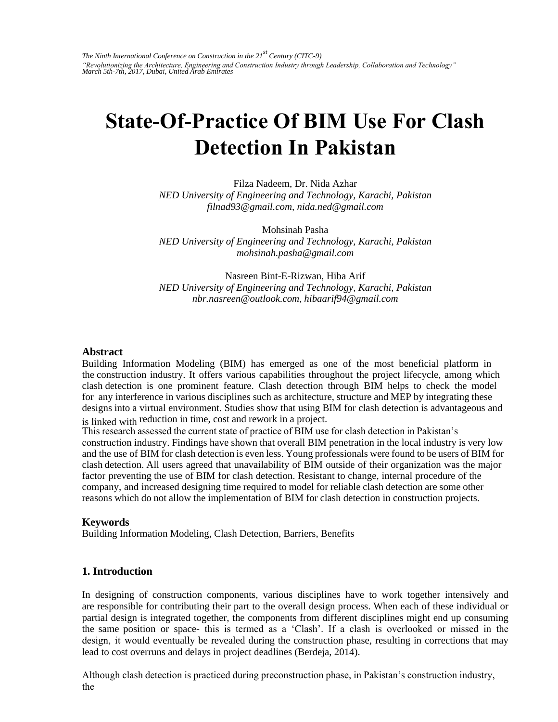# **State-Of-Practice Of BIM Use For Clash Detection In Pakistan**

Filza Nadeem, Dr. Nida Azhar *NED University of Engineering and Technology, Karachi, Pakistan filnad93@gmail.com, nida.ned@gmail.com* 

Mohsinah Pasha *NED University of Engineering and Technology, Karachi, Pakistan mohsinah.pasha@gmail.com* 

Nasreen Bint-E-Rizwan, Hiba Arif *NED University of Engineering and Technology, Karachi, Pakistan nbr.nasreen@outlook.com, hibaarif94@gmail.com* 

#### **Abstract**

Building Information Modeling (BIM) has emerged as one of the most beneficial platform in the construction industry. It offers various capabilities throughout the project lifecycle, among which clash detection is one prominent feature. Clash detection through BIM helps to check the model for any interference in various disciplines such as architecture, structure and MEP by integrating these designs into a virtual environment. Studies show that using BIM for clash detection is advantageous and is linked with reduction in time, cost and rework in a project.

This research assessed the current state of practice of BIM use for clash detection in Pakistan's construction industry. Findings have shown that overall BIM penetration in the local industry is very low and the use of BIM for clash detection is even less. Young professionals were found to be users of BIM for clash detection. All users agreed that unavailability of BIM outside of their organization was the major factor preventing the use of BIM for clash detection. Resistant to change, internal procedure of the company, and increased designing time required to model for reliable clash detection are some other reasons which do not allow the implementation of BIM for clash detection in construction projects.

#### **Keywords**

Building Information Modeling, Clash Detection, Barriers, Benefits

#### **1. Introduction**

In designing of construction components, various disciplines have to work together intensively and are responsible for contributing their part to the overall design process. When each of these individual or partial design is integrated together, the components from different disciplines might end up consuming the same position or space- this is termed as a 'Clash'. If a clash is overlooked or missed in the design, it would eventually be revealed during the construction phase, resulting in corrections that may lead to cost overruns and delays in project deadlines (Berdeja, 2014).

Although clash detection is practiced during preconstruction phase, in Pakistan's construction industry, the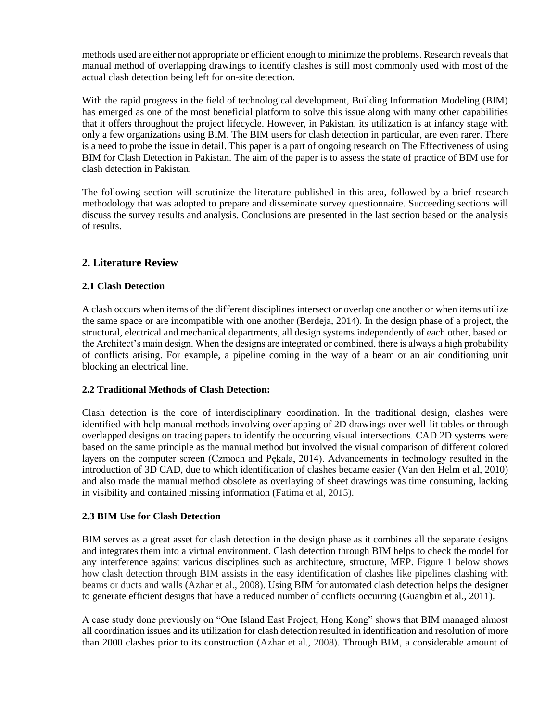methods used are either not appropriate or efficient enough to minimize the problems. Research reveals that manual method of overlapping drawings to identify clashes is still most commonly used with most of the actual clash detection being left for on-site detection.

With the rapid progress in the field of technological development, Building Information Modeling (BIM) has emerged as one of the most beneficial platform to solve this issue along with many other capabilities that it offers throughout the project lifecycle. However, in Pakistan, its utilization is at infancy stage with only a few organizations using BIM. The BIM users for clash detection in particular, are even rarer. There is a need to probe the issue in detail. This paper is a part of ongoing research on The Effectiveness of using BIM for Clash Detection in Pakistan. The aim of the paper is to assess the state of practice of BIM use for clash detection in Pakistan.

The following section will scrutinize the literature published in this area, followed by a brief research methodology that was adopted to prepare and disseminate survey questionnaire. Succeeding sections will discuss the survey results and analysis. Conclusions are presented in the last section based on the analysis of results.

## **2. Literature Review**

#### **2.1 Clash Detection**

A clash occurs when items of the different disciplines intersect or overlap one another or when items utilize the same space or are incompatible with one another (Berdeja, 2014). In the design phase of a project, the structural, electrical and mechanical departments, all design systems independently of each other, based on the Architect's main design. When the designs are integrated or combined, there is always a high probability of conflicts arising. For example, a pipeline coming in the way of a beam or an air conditioning unit blocking an electrical line.

#### **2.2 Traditional Methods of Clash Detection:**

Clash detection is the core of interdisciplinary coordination. In the traditional design, clashes were identified with help manual methods involving overlapping of 2D drawings over well-lit tables or through overlapped designs on tracing papers to identify the occurring visual intersections. CAD 2D systems were based on the same principle as the manual method but involved the visual comparison of different colored layers on the computer screen (Czmoch and Pekala, 2014). Advancements in technology resulted in the introduction of 3D CAD, due to which identification of clashes became easier (Van den Helm et al, 2010) and also made the manual method obsolete as overlaying of sheet drawings was time consuming, lacking in visibility and contained missing information (Fatima et al, 2015).

#### **2.3 BIM Use for Clash Detection**

BIM serves as a great asset for clash detection in the design phase as it combines all the separate designs and integrates them into a virtual environment. Clash detection through BIM helps to check the model for any interference against various disciplines such as architecture, structure, MEP. Figure 1 below shows how clash detection through BIM assists in the easy identification of clashes like pipelines clashing with beams or ducts and walls (Azhar et al., 2008). Using BIM for automated clash detection helps the designer to generate efficient designs that have a reduced number of conflicts occurring (Guangbin et al., 2011).

A case study done previously on "One Island East Project, Hong Kong" shows that BIM managed almost all coordination issues and its utilization for clash detection resulted in identification and resolution of more than 2000 clashes prior to its construction (Azhar et al., 2008). Through BIM, a considerable amount of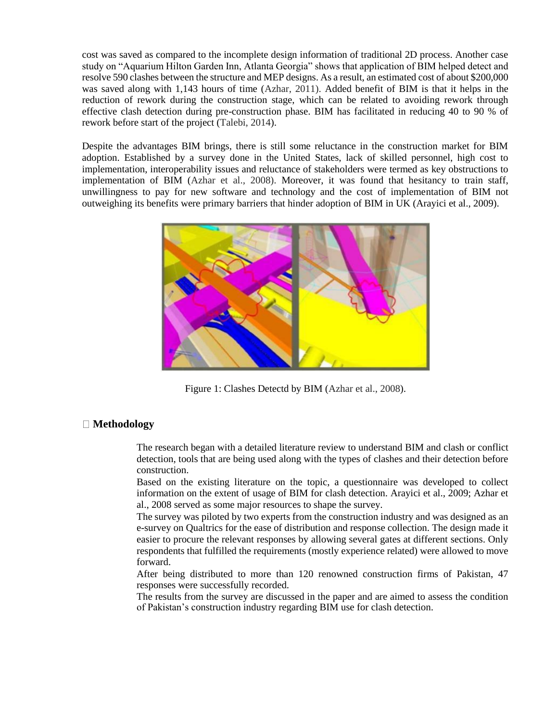cost was saved as compared to the incomplete design information of traditional 2D process. Another case study on "Aquarium Hilton Garden Inn, Atlanta Georgia" shows that application of BIM helped detect and resolve 590 clashes between the structure and MEP designs. As a result, an estimated cost of about \$200,000 was saved along with 1,143 hours of time (Azhar, 2011). Added benefit of BIM is that it helps in the reduction of rework during the construction stage, which can be related to avoiding rework through effective clash detection during pre-construction phase. BIM has facilitated in reducing 40 to 90 % of rework before start of the project (Talebi, 2014).

Despite the advantages BIM brings, there is still some reluctance in the construction market for BIM adoption. Established by a survey done in the United States, lack of skilled personnel, high cost to implementation, interoperability issues and reluctance of stakeholders were termed as key obstructions to implementation of BIM (Azhar et al., 2008). Moreover, it was found that hesitancy to train staff, unwillingness to pay for new software and technology and the cost of implementation of BIM not outweighing its benefits were primary barriers that hinder adoption of BIM in UK (Arayici et al., 2009).



Figure 1: Clashes Detectd by BIM (Azhar et al., 2008).

#### **Methodology**

The research began with a detailed literature review to understand BIM and clash or conflict detection, tools that are being used along with the types of clashes and their detection before construction.

Based on the existing literature on the topic, a questionnaire was developed to collect information on the extent of usage of BIM for clash detection. Arayici et al., 2009; Azhar et al., 2008 served as some major resources to shape the survey.

The survey was piloted by two experts from the construction industry and was designed as an e-survey on Qualtrics for the ease of distribution and response collection. The design made it easier to procure the relevant responses by allowing several gates at different sections. Only respondents that fulfilled the requirements (mostly experience related) were allowed to move forward.

After being distributed to more than 120 renowned construction firms of Pakistan, 47 responses were successfully recorded.

The results from the survey are discussed in the paper and are aimed to assess the condition of Pakistan's construction industry regarding BIM use for clash detection.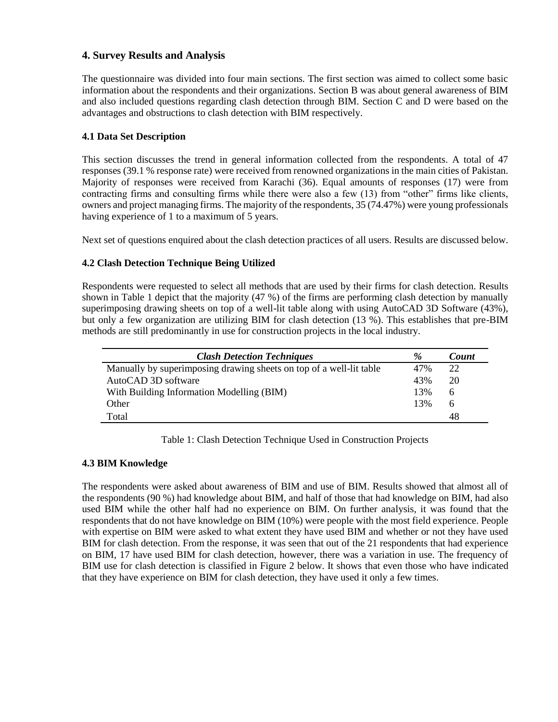## **4. Survey Results and Analysis**

The questionnaire was divided into four main sections. The first section was aimed to collect some basic information about the respondents and their organizations. Section B was about general awareness of BIM and also included questions regarding clash detection through BIM. Section C and D were based on the advantages and obstructions to clash detection with BIM respectively.

#### **4.1 Data Set Description**

This section discusses the trend in general information collected from the respondents. A total of 47 responses (39.1 % response rate) were received from renowned organizations in the main cities of Pakistan. Majority of responses were received from Karachi (36). Equal amounts of responses (17) were from contracting firms and consulting firms while there were also a few (13) from "other" firms like clients, owners and project managing firms. The majority of the respondents, 35 (74.47%) were young professionals having experience of 1 to a maximum of 5 years.

Next set of questions enquired about the clash detection practices of all users. Results are discussed below.

#### **4.2 Clash Detection Technique Being Utilized**

Respondents were requested to select all methods that are used by their firms for clash detection. Results shown in Table 1 depict that the majority (47 %) of the firms are performing clash detection by manually superimposing drawing sheets on top of a well-lit table along with using AutoCAD 3D Software (43%), but only a few organization are utilizing BIM for clash detection (13 %). This establishes that pre-BIM methods are still predominantly in use for construction projects in the local industry.

| <b>Clash Detection Techniques</b>                                   | $\%$ | Count        |
|---------------------------------------------------------------------|------|--------------|
| Manually by superimposing drawing sheets on top of a well-lit table | 47%  | 22           |
| AutoCAD 3D software                                                 | 43%  | 20           |
| With Building Information Modelling (BIM)                           | 13%  | 6            |
| Other                                                               | 13%  | <sub>0</sub> |
| Total                                                               |      | 48           |

#### Table 1: Clash Detection Technique Used in Construction Projects

#### **4.3 BIM Knowledge**

The respondents were asked about awareness of BIM and use of BIM. Results showed that almost all of the respondents (90 %) had knowledge about BIM, and half of those that had knowledge on BIM, had also used BIM while the other half had no experience on BIM. On further analysis, it was found that the respondents that do not have knowledge on BIM (10%) were people with the most field experience. People with expertise on BIM were asked to what extent they have used BIM and whether or not they have used BIM for clash detection. From the response, it was seen that out of the 21 respondents that had experience on BIM, 17 have used BIM for clash detection, however, there was a variation in use. The frequency of BIM use for clash detection is classified in Figure 2 below. It shows that even those who have indicated that they have experience on BIM for clash detection, they have used it only a few times.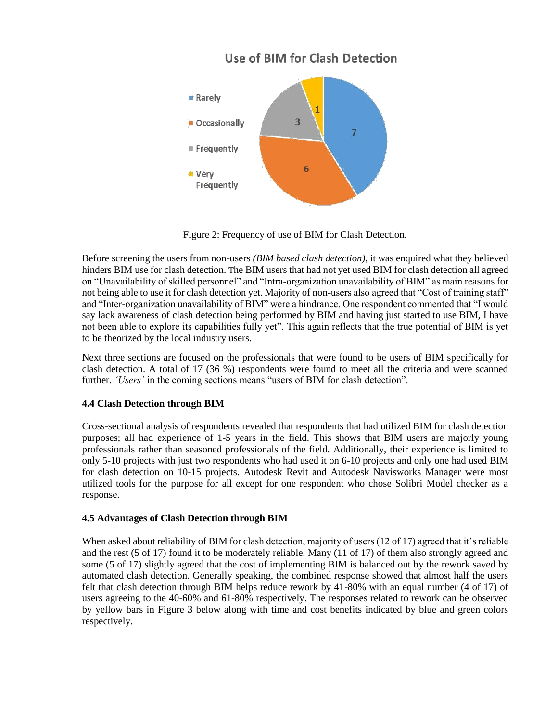# Use of BIM for Clash Detection



Figure 2: Frequency of use of BIM for Clash Detection.

Before screening the users from non-users *(BIM based clash detection),* it was enquired what they believed hinders BIM use for clash detection. The BIM users that had not yet used BIM for clash detection all agreed on "Unavailability of skilled personnel" and "Intra-organization unavailability of BIM" as main reasons for not being able to use it for clash detection yet. Majority of non-users also agreed that "Cost of training staff" and "Inter-organization unavailability of BIM" were a hindrance. One respondent commented that "I would say lack awareness of clash detection being performed by BIM and having just started to use BIM, I have not been able to explore its capabilities fully yet". This again reflects that the true potential of BIM is yet to be theorized by the local industry users.

Next three sections are focused on the professionals that were found to be users of BIM specifically for clash detection. A total of 17 (36 %) respondents were found to meet all the criteria and were scanned further. *'Users'* in the coming sections means "users of BIM for clash detection".

#### **4.4 Clash Detection through BIM**

Cross-sectional analysis of respondents revealed that respondents that had utilized BIM for clash detection purposes; all had experience of 1-5 years in the field. This shows that BIM users are majorly young professionals rather than seasoned professionals of the field. Additionally, their experience is limited to only 5-10 projects with just two respondents who had used it on 6-10 projects and only one had used BIM for clash detection on 10-15 projects. Autodesk Revit and Autodesk Navisworks Manager were most utilized tools for the purpose for all except for one respondent who chose Solibri Model checker as a response.

#### **4.5 Advantages of Clash Detection through BIM**

When asked about reliability of BIM for clash detection, majority of users (12 of 17) agreed that it's reliable and the rest (5 of 17) found it to be moderately reliable. Many (11 of 17) of them also strongly agreed and some (5 of 17) slightly agreed that the cost of implementing BIM is balanced out by the rework saved by automated clash detection. Generally speaking, the combined response showed that almost half the users felt that clash detection through BIM helps reduce rework by 41-80% with an equal number (4 of 17) of users agreeing to the 40-60% and 61-80% respectively. The responses related to rework can be observed by yellow bars in Figure 3 below along with time and cost benefits indicated by blue and green colors respectively.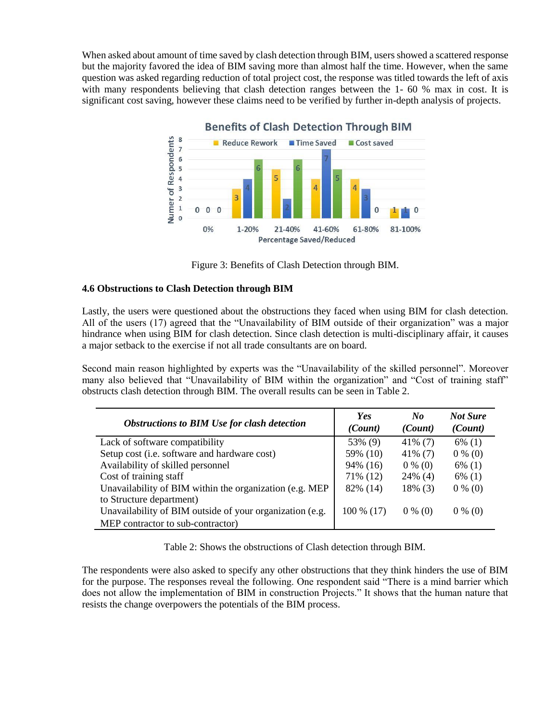When asked about amount of time saved by clash detection through BIM, users showed a scattered response but the majority favored the idea of BIM saving more than almost half the time. However, when the same question was asked regarding reduction of total project cost, the response was titled towards the left of axis with many respondents believing that clash detection ranges between the 1-60 % max in cost. It is significant cost saving, however these claims need to be verified by further in-depth analysis of projects.



Figure 3: Benefits of Clash Detection through BIM.

#### **4.6 Obstructions to Clash Detection through BIM**

Lastly, the users were questioned about the obstructions they faced when using BIM for clash detection. All of the users (17) agreed that the "Unavailability of BIM outside of their organization" was a major hindrance when using BIM for clash detection. Since clash detection is multi-disciplinary affair, it causes a major setback to the exercise if not all trade consultants are on board.

Second main reason highlighted by experts was the "Unavailability of the skilled personnel". Moreover many also believed that "Unavailability of BIM within the organization" and "Cost of training staff" obstructs clash detection through BIM. The overall results can be seen in Table 2.

| <b>Obstructions to BIM Use for clash detection</b>       | <b>Yes</b><br>(Count) | $\bf{N}$ o<br>(Count) | <b>Not Sure</b><br>(Count) |
|----------------------------------------------------------|-----------------------|-----------------------|----------------------------|
| Lack of software compatibility                           | 53% (9)               | $41\%$ (7)            | $6\%$ (1)                  |
| Setup cost (i.e. software and hardware cost)             | 59% (10)              | $41\%$ (7)            | $0\%$ (0)                  |
| Availability of skilled personnel                        | 94% (16)              | $0\%$ (0)             | $6\%$ (1)                  |
| Cost of training staff                                   | 71% (12)              | $24\%$ (4)            | $6\%$ (1)                  |
| Unavailability of BIM within the organization (e.g. MEP  | 82% (14)              | 18% (3)               | $0\%$ (0)                  |
| to Structure department)                                 |                       |                       |                            |
| Unavailability of BIM outside of your organization (e.g. | $100\%$ (17)          | $0\%$ (0)             | $0\%$ (0)                  |
| MEP contractor to sub-contractor)                        |                       |                       |                            |

Table 2: Shows the obstructions of Clash detection through BIM.

The respondents were also asked to specify any other obstructions that they think hinders the use of BIM for the purpose. The responses reveal the following. One respondent said "There is a mind barrier which does not allow the implementation of BIM in construction Projects." It shows that the human nature that resists the change overpowers the potentials of the BIM process.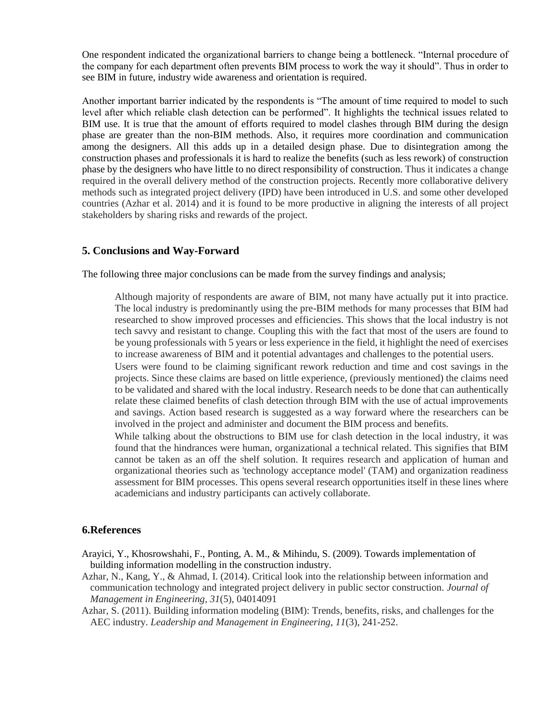One respondent indicated the organizational barriers to change being a bottleneck. "Internal procedure of the company for each department often prevents BIM process to work the way it should". Thus in order to see BIM in future, industry wide awareness and orientation is required.

Another important barrier indicated by the respondents is "The amount of time required to model to such level after which reliable clash detection can be performed". It highlights the technical issues related to BIM use. It is true that the amount of efforts required to model clashes through BIM during the design phase are greater than the non-BIM methods. Also, it requires more coordination and communication among the designers. All this adds up in a detailed design phase. Due to disintegration among the construction phases and professionals it is hard to realize the benefits (such as less rework) of construction phase by the designers who have little to no direct responsibility of construction. Thus it indicates a change required in the overall delivery method of the construction projects. Recently more collaborative delivery methods such as integrated project delivery (IPD) have been introduced in U.S. and some other developed countries (Azhar et al. 2014) and it is found to be more productive in aligning the interests of all project stakeholders by sharing risks and rewards of the project.

#### **5. Conclusions and Way-Forward**

The following three major conclusions can be made from the survey findings and analysis;

Although majority of respondents are aware of BIM, not many have actually put it into practice. The local industry is predominantly using the pre-BIM methods for many processes that BIM had researched to show improved processes and efficiencies. This shows that the local industry is not tech savvy and resistant to change. Coupling this with the fact that most of the users are found to be young professionals with 5 years or less experience in the field, it highlight the need of exercises to increase awareness of BIM and it potential advantages and challenges to the potential users.

Users were found to be claiming significant rework reduction and time and cost savings in the projects. Since these claims are based on little experience, (previously mentioned) the claims need to be validated and shared with the local industry. Research needs to be done that can authentically relate these claimed benefits of clash detection through BIM with the use of actual improvements and savings. Action based research is suggested as a way forward where the researchers can be involved in the project and administer and document the BIM process and benefits.

While talking about the obstructions to BIM use for clash detection in the local industry, it was found that the hindrances were human, organizational a technical related. This signifies that BIM cannot be taken as an off the shelf solution. It requires research and application of human and organizational theories such as 'technology acceptance model' (TAM) and organization readiness assessment for BIM processes. This opens several research opportunities itself in these lines where academicians and industry participants can actively collaborate.

#### **6.References**

- Arayici, Y., Khosrowshahi, F., Ponting, A. M., & Mihindu, S. (2009). Towards implementation of building information modelling in the construction industry.
- Azhar, N., Kang, Y., & Ahmad, I. (2014). Critical look into the relationship between information and communication technology and integrated project delivery in public sector construction. *Journal of Management in Engineering*, *31*(5), 04014091
- Azhar, S. (2011). Building information modeling (BIM): Trends, benefits, risks, and challenges for the AEC industry. *Leadership and Management in Engineering*, *11*(3), 241-252.